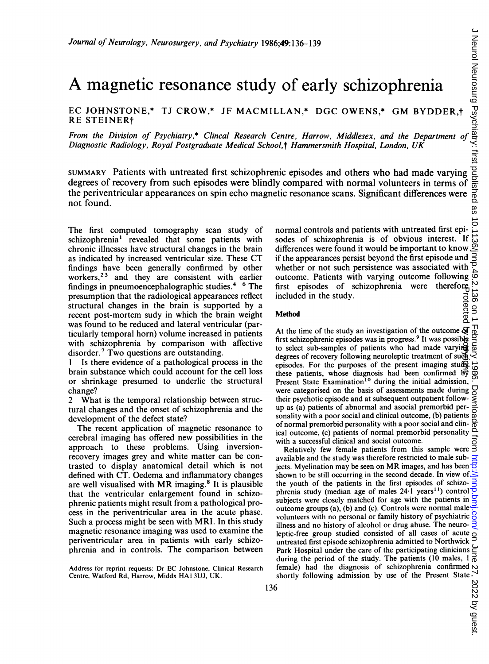# A magnetic resonance study of early schizophrenia

EC JOHNSTONE,\* TJ CROW,\* JF MACMILLAN,\* DGC OWENS,\* GM BYDDER.t RE STEINERt

From the Division of Psychiatry,\* Clincal Research Centre, Harrow, Middlesex, and the Department of Diagnostic Radiology, Royal Postgraduate Medical School,† Hammersmith Hospital, London, UK

SUMMARY Patients with untreated first schizophrenic episodes and others who had made varying degrees of recovery from such episodes were blindly compared with normal volunteers in terms of the periventricular appearances on spin echo magnetic resonance scans. Significant differences were not found.

The first computed tomography scan study of schizophrenia<sup>1</sup> revealed that some patients with chronic illnesses have structural changes in the brain as indicated by increased ventricular size. These CT findings have been generally confirmed by other workers,<sup>23</sup> and they are consistent with earlier findings in pneumoencephalographic studies. $4-6$  The presumption that the radiological appearances reflect structural changes in the brain is supported by a recent post-mortem sudy in which the brain weight was found to be reduced and lateral ventricular (particularly temporal horn) volume increased in patients with schizophrenia by comparison with affective disorder.<sup>7</sup> Two questions are outstanding.

Is there evidence of a pathological process in the brain substance which could account for the cell loss or shrinkage presumed to underlie the structural change?

2 What is the temporal relationship between structural changes and the onset of schizophrenia and the development of the defect state?

The recent application of magnetic resonance to cerebral imaging has offered new possibilities in the approach to these problems. Using inversionrecovery images grey and white matter can be contrasted to display anatomical detail which is not defined with CT. Oedema and inflammatory changes are well visualised with MR imaging.<sup>8</sup> It is plausible that the ventricular enlargement found in schizophrenic patients might result from a pathological process in the periventricular area in the acute phase. Such <sup>a</sup> process might be seen with MRI. In this study magnetic resonance imaging was used to examine the periventricular area in patients with early schizophrenia and in controls. The comparison between normal controls and patients with untreated first epi-6;49:136-139<br>
Solution 139<br>
The Communical Communical Communical Communications of the Section<br>
Centre, Harrow, Middlesex, and the Department of section<br>
Centre, Harrow, Middlesex, and the Department of section<br>
of the Ha differences were found it would be important to know if the appearances persist beyond the first episode and whether or not such persistence was associated with outcome. Patients with varying outcome following  $\overline{\text{cos}}$ <br>first episodes of schizophrenia were therefore  $\overline{\text{cos}}$ <br>included in the study.<br>Method  $\overline{\text{cos}}$   $\overline{\text{cos}}$   $\overline{\text{cos}}$ first episodes of schizophrenia were therefore included in the study.

### Method

At the time of the study an investigation of the outcome  $\mathfrak{A}$ first schizophrenic episodes was in progress.<sup>9</sup> It was possible to select sub-samples of patients who had made varying degrees of recovery following neuroleptic treatment of such episodes. For the purposes of the present imaging study these patients, whose diagnosis had been confirmed  $b\overline{y}$ Present State Examination<sup>10</sup> during the initial admission, were categorised on the basis of assessments made during their psychotic episode and at subsequent outpatient followup as (a) patients of abnormal and asocial premorbid per- $\frac{1}{2}$  as (a) patients of abunduar and asocial premotion per-<br>
sonality with a poor social and clinical outcome, (b) patients at<br>
of normal premotion personality with a poor social and clini-<br>  $\frac{1}{2}$  and clinical ou of normal premorbid personality with a poor social and clinical outcome, (c) patients of normal premorbid personality with a successful clinical and social outcome. Protected by peopyright.

Relatively few female patients from this sample were available and the study was therefore restricted to male subjects. Myelination may be seen on MR images, and has been  $\vec{\sigma}$ shown to be still occurring in the second decade. In view of the youth of the patients in the first episodes of schizophrenia study (median age of males 24.1 years<sup>11</sup>) control subjects were closely matched for age with the patients in outcome groups (a), (b) and (c). Controls were normal male volunteers with no personal or family history of psychiatric  $\frac{8}{3}$ illness and no history of alcohol or drug abuse. The neuro- $\frac{1}{2}$ leptic-free group studied consisted of all cases of acute untreated first episode schizophrenia admitted to Northwick Park Hospital under the care of the participating clinicians during the period of the study. The patients (10 males, <sup>I</sup> female) had the diagnosis of schizophrenia confirmed shortly following admission by use of the Present State

Address for reprint requests: Dr EC Johnstone, Clinical Research Centre. Watford Rd, Harrow, Middx HAI 3UJ, UK.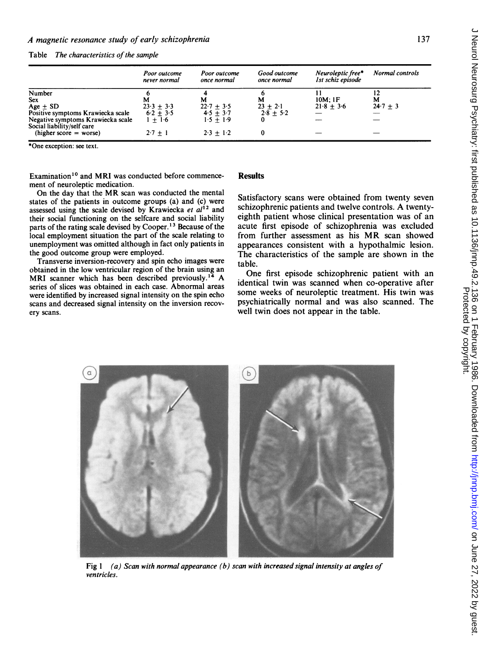Table The characteristics of the sample

|                                                                 | Poor outcome<br>never normal | Poor outcome<br>once normal | Good outcome<br>once normal | Neuroleptic free*<br>Ist schiz episode | Normal controls |
|-----------------------------------------------------------------|------------------------------|-----------------------------|-----------------------------|----------------------------------------|-----------------|
| Number                                                          |                              |                             |                             |                                        |                 |
| <b>Sex</b>                                                      | м                            | М                           | м                           | 10M:1F                                 | м               |
| Age $\pm$ SD                                                    | $23.3 + 3.3$                 | $22.7 + 3.5$                | $23 + 2.1$                  | $21.8 + 3.6$                           | $24.7 + 3$      |
| Positive symptoms Krawiecka scale                               | $6.2 + 3.5$                  | $4.5 + 3.7$                 | $2.8 + 5.2$                 |                                        |                 |
| Negative symptoms Krawiecka scale<br>Social liability/self care | $1 + 1.6$                    | $1.5 + 1.9$                 |                             |                                        |                 |
| $(higher score = worse)$                                        | $2.7 + 1$                    | $2.3 + 1.2$                 |                             |                                        |                 |

\*One exception: see text.

Examination'0 and MRI was conducted before commencement of neuroleptic medication.

On the day that the MR scan was conducted the mental states of the patients in outcome groups (a) and (c) were assessed using the scale devised by Krawiecka et  $al^{12}$  and their social functioning on the selfcare and social liability parts of the rating scale devised by Cooper.<sup>13</sup> Because of the local employment situation the part of the scale relating to unemployment was omitted although in fact only patients in the good outcome group were employed.

Transverse inversion-recovery and spin echo images were obtained in the low ventricular region of the brain using an MRI scanner which has been described previously.<sup>14</sup> A series of slices was obtained in each case. Abnormal areas were identified by increased signal intensity on the spin echo scans and decreased signal intensity on the inversion recovery scans.

## **Results**

Satisfactory scans were obtained from twenty seven schizophrenic patients and twelve controls. A twentyeighth patient whose clinical presentation was of an acute first episode of schizophrenia was excluded from further assessment as his MR scan showed appearances consistent with a hypothalmic lesion. The characteristics of the sample are shown in the table.

One first episode schizophrenic patient with an identical twin was scanned when co-operative after some weeks of neuroleptic treatment. His twin was psychiatrically normal and was also scanned. The well twin does not appear in the table.



Fig  $1$  (a) Scan with normal appearance (b) scan with increased signal intensity at angles of ventricles.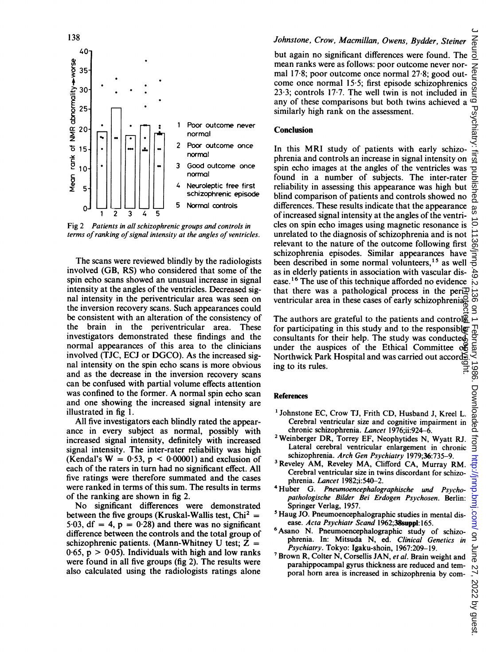

Fig 2 Patients in all schizophrenic groups and controls in terms of ranking of signal intensity at the angles of ventricles.

The scans were reviewed blindly by the radiologists involved (GB, RS) who considered that some of the spin echo scans showed an unusual increase in signal intensity at the angles of the ventricles. Decreased signal intensity in the periventricular area was seen on the inversion recovery scans. Such appearances could be consistent with an alteration of the consistency of the brain in the periventricular area. These investigators demonstrated these findings and the normal appearances of this area to the clinicians involved (TJC, ECJ or DGCO). As the increased signal intensity on the spin echo scans is more obvious and as the decrease in the inversion recovery scans can be confused with partial volume effects attention was confined to the former. A normal spin echo scan and one showing the increased signal intensity are illustrated in fig 1.

All five investigators each blindly rated the appearance in every subject as normal, possibly with increased signal intensity, definitely with increased signal intensity. The inter-rater reliability was high (Kendal's  $W = 0.53$ ,  $p < 0.00001$ ) and exclusion of each of the raters in turn had no significant effect. All five ratings were therefore summated and the cases were ranked in terms of this sum. The results in terms of the ranking are shown in fig 2.

No significant differences were demonstrated between the five groups (Kruskal-Wallis test,  $Chi^2 =$ 5.03, df = 4,  $p = 0.28$ ) and there was no significant difference between the controls and the total group of schizophrenic patients. (Mann-Whitney U test;  $Z =$  $0.65$ , p  $> 0.05$ ). Individuals with high and low ranks were found in all five groups (fig 2). The results were also calculated using the radiologists ratings alone

# Johnstone, Crow, Macmillan, Owens, Bydder, Steiner

but again no significant differences were found. The mean ranks were as follows: poor outcome never normal 17 8; poor outcome once normal 27-8; good outcome once normal 15-5; first episode schizophrenics mean ranks were as follows: poor outcome never nor-<br>mal 17-8; poor outcome once normal 27-8; good out-<br>come once normal 15-5; first episode schizophrenics 23-3; controls 17-7. The well twin is not included in any of these any of these comparisons but both twins achieved a similarly high rank on the assessment.

## **Conclusion**

In this MRI study of patients with early schizophrenia and controls an increase in signal intensity on spin echo images at the angles of the ventricles was found in a number of subjects. The inter-rater reliability in assessing this appearance was high but blind comparison of patients and controls showed no differences. These results indicate that the appearance of increased signal intensity at the angles of the ventricles on spin echo images using magnetic resonance is  $\bigcirc$  unrelated to the diagnosis of schizophrenia and is not  $\bigcirc$  relevant to the nature of the outcome following first  $\bigcirc$ unrelated to the diagnosis of schizophrenia and is not relevant to the nature of the outcome following first schizophrenia episodes. Similar appearances have been described in some normal volunteers,<sup>15</sup> as well as in elderly patients in association with vascular disease.<sup>16</sup> The use of this technique afforded no evidence that there was a pathological process in the peri $\Xi$ ventricular area in these cases of early schizophrenia.

The authors are grateful to the patients and control $\mathbb {B}$ for participating in this study and to the responsible consultants for their help. The study was conducted under the auspices of the Ethical Committee of Northwick Park Hospital and was carried out according to its rules. Protected by copyright.

#### References

- 'Johnstone EC, Crow TJ, Frith CD, Husband J, Kreel L. Cerebral ventricular size and cognitive impairment in chronic schizophrenia. Lancet 1976;ii:924-6.
- 2Weinberger DR, Torrey EF, Neophytides N, Wyatt RJ. Lateral cerebral ventricular enlargement in chronic schizophrenia. Arch Gen Psychiatry 1979;36:735-9.
- 3Reveley AM, Reveley MA, Clifford CA, Murray RM. Cerebral ventricular size in twins discordant for schizophrenia. Lancet 1982;i:540-2.
- 4Huber G. Pneumoencephalographische und Psychopathologische Bilder Bei Erdogen Psychosen. Berlin: Springer Verlag, 1957.
- 'Haug JO. Pneumoencephalographic studies in mental disease. Acta Psychiatr Scand 1962;38suppl: 165.
- 6Asano N. Pneumoencephalographic study of schizophrenia. In: Mitsuda N, ed. Clinical Genetics in Psychiatry. Tokyo: Igaku-shoin, 1967:209-19.
- <sup>7</sup> Brown R, Colter N, Corsellis JAN, et al. Brain weight and parahippocampal gyrus thickness are reduced and temporal horn area is increased in schizophrenia by com-